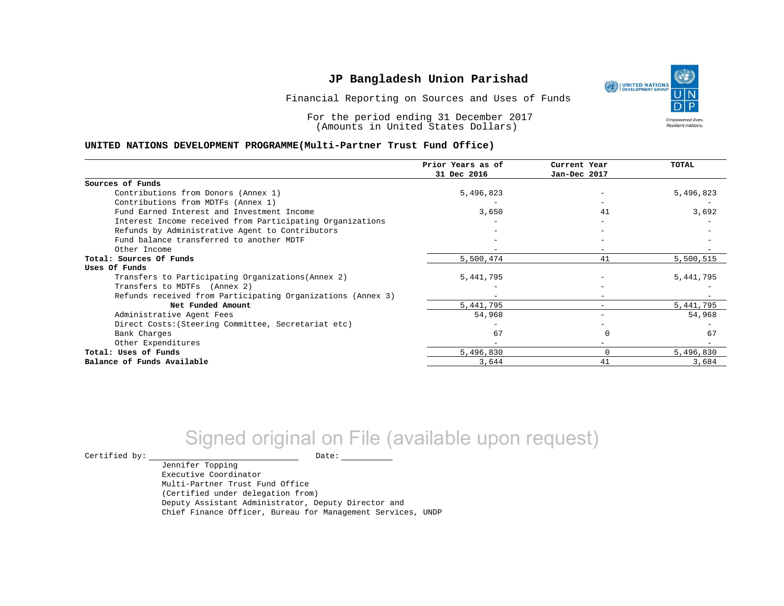Financial Reporting on Sources and Uses of Funds

For the period ending 31 December 2017 (Amounts in United States Dollars)

#### **UNITED NATIONS DEVELOPMENT PROGRAMME(Multi-Partner Trust Fund Office)**

|                                                             | Prior Years as of | Current Year             | TOTAL       |
|-------------------------------------------------------------|-------------------|--------------------------|-------------|
|                                                             | 31 Dec 2016       | Jan-Dec 2017             |             |
| Sources of Funds                                            |                   |                          |             |
| Contributions from Donors (Annex 1)                         | 5,496,823         |                          | 5,496,823   |
| Contributions from MDTFs (Annex 1)                          |                   |                          |             |
| Fund Earned Interest and Investment Income                  | 3,650             | 41                       | 3,692       |
| Interest Income received from Participating Organizations   |                   |                          |             |
| Refunds by Administrative Agent to Contributors             |                   |                          |             |
| Fund balance transferred to another MDTF                    |                   |                          |             |
| Other Income                                                |                   | $\overline{\phantom{0}}$ |             |
| Total: Sources Of Funds                                     | 5,500,474         | 41                       | 5,500,515   |
| Uses Of Funds                                               |                   |                          |             |
| Transfers to Participating Organizations (Annex 2)          | 5, 441, 795       |                          | 5,441,795   |
| Transfers to MDTFs (Annex 2)                                |                   |                          |             |
| Refunds received from Participating Organizations (Annex 3) |                   | $\qquad \qquad$          |             |
| Net Funded Amount                                           | 5,441,795         |                          | 5, 441, 795 |
| Administrative Agent Fees                                   | 54,968            |                          | 54,968      |
| Direct Costs: (Steering Committee, Secretariat etc)         |                   |                          |             |
| Bank Charges                                                | 67                |                          | 67          |
| Other Expenditures                                          |                   |                          |             |
| Total: Uses of Funds                                        | 5,496,830         | $\Omega$                 | 5,496,830   |
| Balance of Funds Available                                  | 3,644             | 41                       | 3,684       |

# Signed original on File (available upon request)

 $\begin{picture}(180,180)(0,0) \put(0,0){\vector(1,0){180}} \put(15,0){\vector(1,0){180}} \put(15,0){\vector(1,0){180}} \put(15,0){\vector(1,0){180}} \put(15,0){\vector(1,0){180}} \put(15,0){\vector(1,0){180}} \put(15,0){\vector(1,0){180}} \put(15,0){\vector(1,0){180}} \put(15,0){\vector(1,0){180}} \put(15,0){\vector(1,0){180}} \put(15,0){\vector(1,0$ 

Jennifer Topping Executive Coordinator Multi-Partner Trust Fund Office (Certified under delegation from) Deputy Assistant Administrator, Deputy Director and Chief Finance Officer, Bureau for Management Services, UNDP

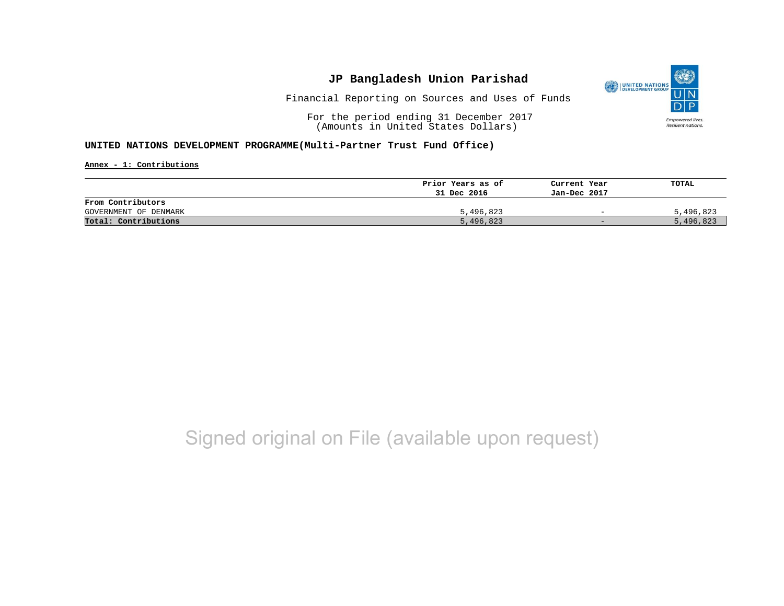

Financial Reporting on Sources and Uses of Funds

For the period ending 31 December 2017 (Amounts in United States Dollars)

#### **UNITED NATIONS DEVELOPMENT PROGRAMME(Multi-Partner Trust Fund Office)**

**Annex - 1: Contributions**

|                       | Prior Years as of | Current Year             | TOTAL     |
|-----------------------|-------------------|--------------------------|-----------|
|                       | 31 Dec 2016       | Jan-Dec 2017             |           |
| From Contributors     |                   |                          |           |
| GOVERNMENT OF DENMARK | 5,496,823         | $\overline{\phantom{0}}$ | 5,496,823 |
| Total: Contributions  | 5,496,823         | $-$                      | 5,496,823 |

# Signed original on File (available upon request)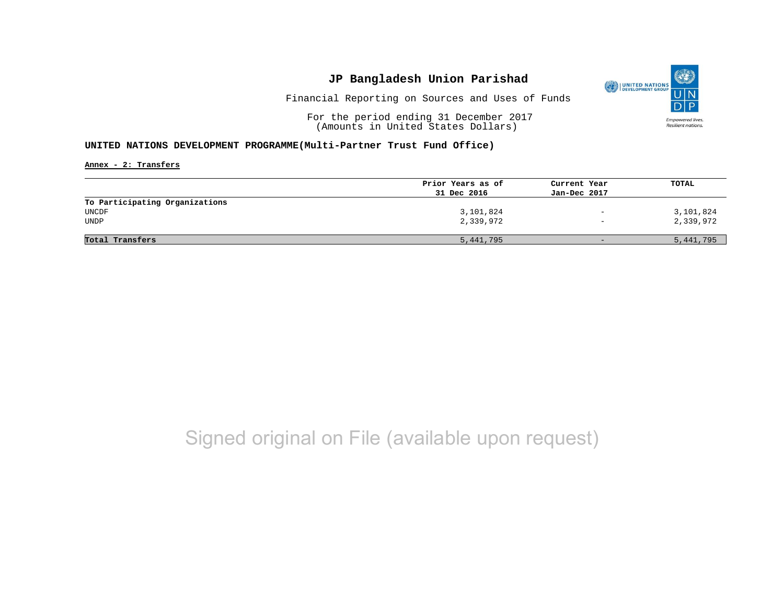

Financial Reporting on Sources and Uses of Funds

For the period ending 31 December 2017 (Amounts in United States Dollars)

#### **UNITED NATIONS DEVELOPMENT PROGRAMME(Multi-Partner Trust Fund Office)**

**Annex - 2: Transfers**

|                                | Prior Years as of | Current Year      | TOTAL     |
|--------------------------------|-------------------|-------------------|-----------|
|                                | 31 Dec 2016       | Jan-Dec 2017      |           |
| To Participating Organizations |                   |                   |           |
| UNCDF                          | 3,101,824         | $\qquad \qquad -$ | 3,101,824 |
| UNDP                           | 2,339,972         | $\qquad \qquad -$ | 2,339,972 |
|                                |                   |                   |           |
| Total Transfers                | 5,441,795         | $-$               | 5,441,795 |
|                                |                   |                   |           |

# Signed original on File (available upon request)